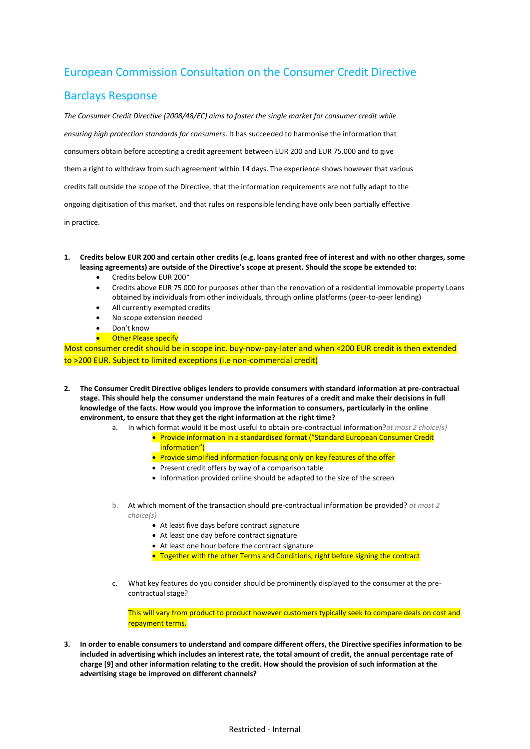## European Commission Consultation on the Consumer Credit Directive

## Barclays Response

*The Consumer Credit Directive (2008/48/EC) aims to foster the single market for consumer credit while ensuring high protection standards for consumers*. It has succeeded to harmonise the information that consumers obtain before accepting a credit agreement between EUR 200 and EUR 75.000 and to give them a right to withdraw from such agreement within 14 days. The experience shows however that various credits fall outside the scope of the Directive, that the information requirements are not fully adapt to the ongoing digitisation of this market, and that rules on responsible lending have only been partially effective

in practice.

## **1. Credits below EUR 200 and certain other credits (e.g. loans granted free of interest and with no other charges, some leasing agreements) are outside of the Directive's scope at present. Should the scope be extended to:**

- Credits below EUR 200\*
- Credits above EUR 75 000 for purposes other than the renovation of a residential immovable property Loans obtained by individuals from other individuals, through online platforms (peer-to-peer lending)
- All currently exempted credits
- No scope extension needed
- Don't know
- Other Please specify

Most consumer credit should be in scope inc. buy-now-pay-later and when <200 EUR credit is then extended to >200 EUR. Subject to limited exceptions (i.e non-commercial credit)

- **2. The Consumer Credit Directive obliges lenders to provide consumers with standard information at pre-contractual stage. This should help the consumer understand the main features of a credit and make their decisions in full knowledge of the facts. How would you improve the information to consumers, particularly in the online environment, to ensure that they get the right information at the right time?**
	- a. In which format would it be most useful to obtain pre-contractual information?*at most 2 choice(s)*
		- Provide information in a standardised format ("Standard European Consumer Credit Information")
		- **•** Provide simplified information focusing only on key features of the offer
		- Present credit offers by way of a comparison table
		- Information provided online should be adapted to the size of the screen
	- b. At which moment of the transaction should pre-contractual information be provided? *at most 2 choice(s)*
		- At least five days before contract signature
		- At least one day before contract signature
		- At least one hour before the contract signature
		- Together with the other Terms and Conditions, right before signing the contract
	- What key features do you consider should be prominently displayed to the consumer at the precontractual stage?

This will vary from product to product however customers typically seek to compare deals on cost and repayment terms.

**3. In order to enable consumers to understand and compare different offers, the Directive specifies information to be included in advertising which includes an interest rate, the total amount of credit, the annual percentage rate of charge [9] and other information relating to the credit. How should the provision of such information at the advertising stage be improved on different channels?**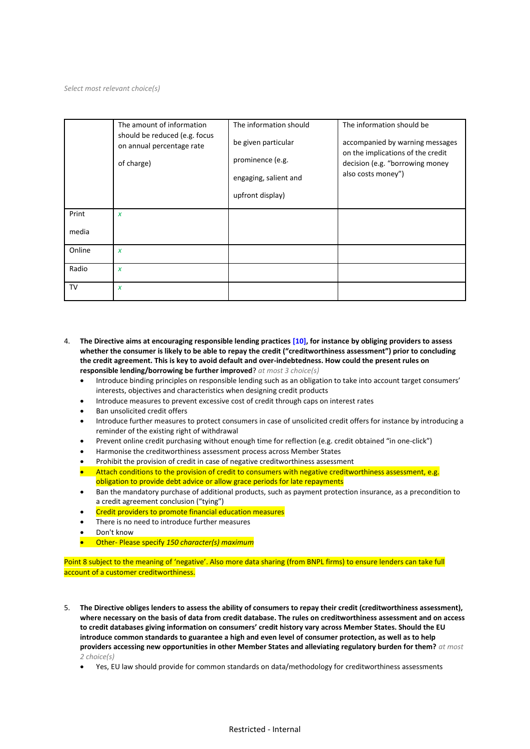*Select most relevant choice(s)*

|                | The amount of information<br>should be reduced (e.g. focus<br>on annual percentage rate<br>of charge) | The information should<br>be given particular<br>prominence (e.g.<br>engaging, salient and<br>upfront display) | The information should be<br>accompanied by warning messages<br>on the implications of the credit<br>decision (e.g. "borrowing money<br>also costs money") |
|----------------|-------------------------------------------------------------------------------------------------------|----------------------------------------------------------------------------------------------------------------|------------------------------------------------------------------------------------------------------------------------------------------------------------|
| Print<br>media | $\boldsymbol{x}$                                                                                      |                                                                                                                |                                                                                                                                                            |
| Online         | $\boldsymbol{x}$                                                                                      |                                                                                                                |                                                                                                                                                            |
| Radio          | $\boldsymbol{x}$                                                                                      |                                                                                                                |                                                                                                                                                            |
| TV             | $\boldsymbol{x}$                                                                                      |                                                                                                                |                                                                                                                                                            |

- 4. **The Directive aims at encouraging responsible lending practices [10], for instance by obliging providers to assess whether the consumer is likely to be able to repay the credit ("creditworthiness assessment") prior to concluding the credit agreement. This is key to avoid default and over-indebtedness. How could the present rules on responsible lending/borrowing be further improved**? *at most 3 choice(s)*
	- Introduce binding principles on responsible lending such as an obligation to take into account target consumers' interests, objectives and characteristics when designing credit products
	- Introduce measures to prevent excessive cost of credit through caps on interest rates
	- Ban unsolicited credit offers
	- Introduce further measures to protect consumers in case of unsolicited credit offers for instance by introducing a reminder of the existing right of withdrawal
	- Prevent online credit purchasing without enough time for reflection (e.g. credit obtained "in one-click")
	- Harmonise the creditworthiness assessment process across Member States
	- Prohibit the provision of credit in case of negative creditworthiness assessment
	- Attach conditions to the provision of credit to consumers with negative creditworthiness assessment, e.g. obligation to provide debt advice or allow grace periods for late repayments
	- Ban the mandatory purchase of additional products, such as payment protection insurance, as a precondition to a credit agreement conclusion ("tying")
	- Credit providers to promote financial education measures
	- There is no need to introduce further measures
	- Don't know
	- Other- Please specify *150 character(s) maximum*

Point 8 subject to the meaning of 'negative'. Also more data sharing (from BNPL firms) to ensure lenders can take full account of a customer creditworthiness.

- 5. **The Directive obliges lenders to assess the ability of consumers to repay their credit (creditworthiness assessment), where necessary on the basis of data from credit database. The rules on creditworthiness assessment and on access to credit databases giving information on consumers' credit history vary across Member States. Should the EU introduce common standards to guarantee a high and even level of consumer protection, as well as to help providers accessing new opportunities in other Member States and alleviating regulatory burden for them?** *at most 2 choice(s)*
	- Yes, EU law should provide for common standards on data/methodology for creditworthiness assessments